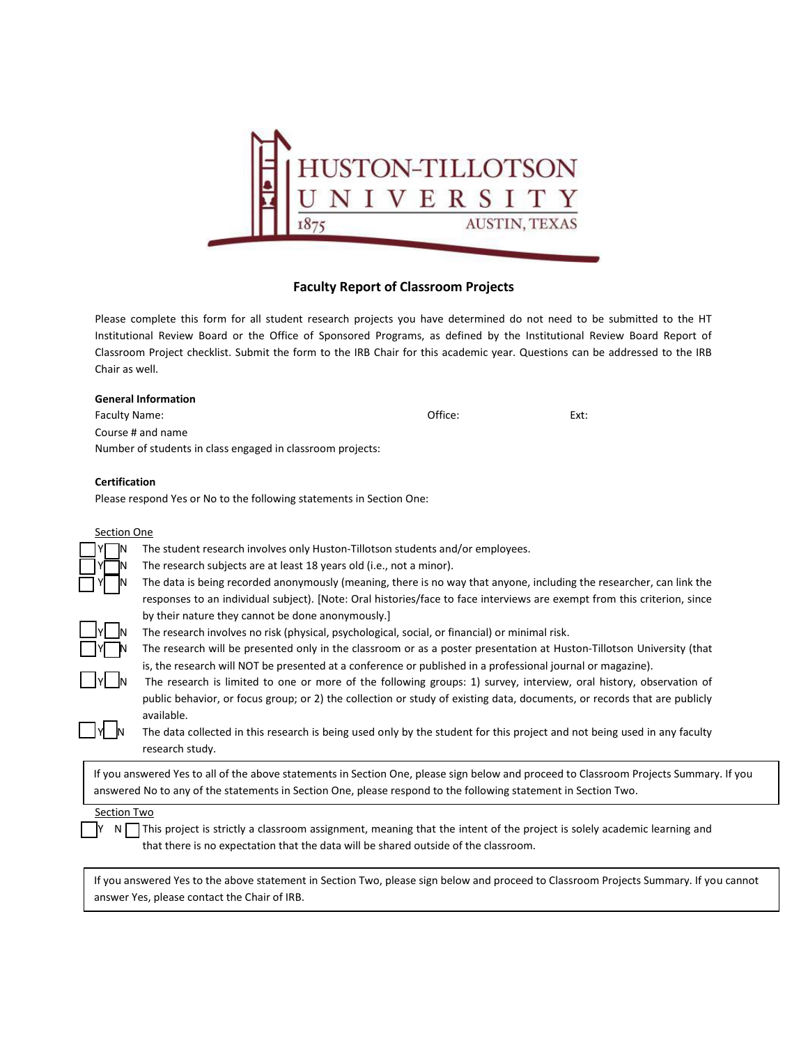

## **Faculty Report of Classroom Projects**

Please complete this form for all student research projects you have determined do not need to be submitted to the HT Institutional Review Board or the Office of Sponsored Programs, as defined by the Institutional Review Board Report of Classroom Project checklist. Submit the form to the IRB Chair for this academic year. Questions can be addressed to the IRB Chair as well.

| <b>General Information</b>                                 |         |      |
|------------------------------------------------------------|---------|------|
| Faculty Name:                                              | Office: | Ext: |
| Course # and name                                          |         |      |
| Number of students in class engaged in classroom projects: |         |      |

## **Certification**

Please respond Yes or No to the following statements in Section One:

answer Yes, please contact the Chair of IRB.

|                                                                                                                                        | The student research involves only Huston-Tillotson students and/or employees.                                           |  |  |
|----------------------------------------------------------------------------------------------------------------------------------------|--------------------------------------------------------------------------------------------------------------------------|--|--|
|                                                                                                                                        | The research subjects are at least 18 years old (i.e., not a minor).                                                     |  |  |
|                                                                                                                                        | The data is being recorded anonymously (meaning, there is no way that anyone, including the researcher, can link the     |  |  |
|                                                                                                                                        | responses to an individual subject). [Note: Oral histories/face to face interviews are exempt from this criterion, since |  |  |
|                                                                                                                                        | by their nature they cannot be done anonymously.]                                                                        |  |  |
|                                                                                                                                        | The research involves no risk (physical, psychological, social, or financial) or minimal risk.                           |  |  |
|                                                                                                                                        | The research will be presented only in the classroom or as a poster presentation at Huston-Tillotson University (that    |  |  |
|                                                                                                                                        | is, the research will NOT be presented at a conference or published in a professional journal or magazine).              |  |  |
|                                                                                                                                        | The research is limited to one or more of the following groups: 1) survey, interview, oral history, observation of       |  |  |
|                                                                                                                                        | public behavior, or focus group; or 2) the collection or study of existing data, documents, or records that are publicly |  |  |
|                                                                                                                                        | available.                                                                                                               |  |  |
|                                                                                                                                        | The data collected in this research is being used only by the student for this project and not being used in any faculty |  |  |
|                                                                                                                                        | research study.                                                                                                          |  |  |
| If you answered Yes to all of the above statements in Section One, please sign below and proceed to Classroom Projects Summary. If you |                                                                                                                          |  |  |
| answered No to any of the statements in Section One, please respond to the following statement in Section Two.                         |                                                                                                                          |  |  |
|                                                                                                                                        |                                                                                                                          |  |  |
|                                                                                                                                        |                                                                                                                          |  |  |
|                                                                                                                                        | This project is strictly a classroom assignment, meaning that the intent of the project is solely academic learning and  |  |  |
| that there is no expectation that the data will be shared outside of the classroom.                                                    |                                                                                                                          |  |  |
|                                                                                                                                        |                                                                                                                          |  |  |
| If you answered Yes to the above statement in Section Two, please sign below and proceed to Classroom Projects Summary. If you cannot  |                                                                                                                          |  |  |
|                                                                                                                                        | Section Two<br>N I                                                                                                       |  |  |